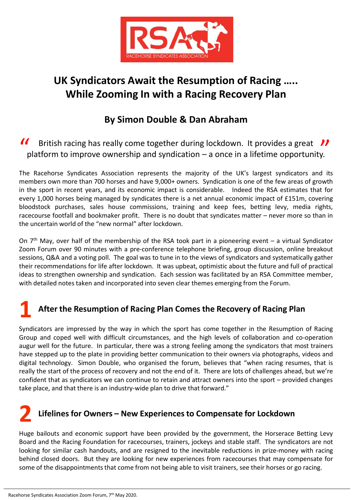

## **UK Syndicators Await the Resumption of Racing ..... While Zooming In with a Racing Recovery Plan**

### **By Simon Double & Dan Abraham**

British racing has really come together during lockdown. It provides a great  $\mathcal{V}$ If arritish racing has really come together during lockdown. It provides a great II platform to improve ownership and syndication – a once in a lifetime opportunity.

The Racehorse Syndicates Association represents the majority of the UK's largest syndicators and its members own more than 700 horses and have 9,000+ owners. Syndication is one of the few areas of growth in the sport in recent years, and its economic impact is considerable. Indeed the RSA estimates that for every 1,000 horses being managed by syndicates there is a net annual economic impact of £151m, covering bloodstock purchases, sales house commissions, training and keep fees, betting levy, media rights, racecourse footfall and bookmaker profit. There is no doubt that syndicates matter – never more so than in the uncertain world of the "new normal" after lockdown.

On  $7<sup>th</sup>$  May, over half of the membership of the RSA took part in a pioneering event – a virtual Syndicator Zoom Forum over 90 minutes with a pre-conference telephone briefing, group discussion, online breakout sessions, Q&A and a voting poll. The goal was to tune in to the views of syndicators and systematically gather their recommendations for life after lockdown. It was upbeat, optimistic about the future and full of practical ideas to strengthen ownership and syndication. Each session was facilitated by an RSA Committee member, with detailed notes taken and incorporated into seven clear themes emerging from the Forum.

# **1 After the Resumption of Racing Plan Comes the Recovery of Racing Plan**

Syndicators are impressed by the way in which the sport has come together in the Resumption of Racing Group and coped well with difficult circumstances, and the high levels of collaboration and co-operation augur well for the future. In particular, there was a strong feeling among the syndicators that most trainers have stepped up to the plate in providing better communication to their owners via photographs, videos and digital technology. Simon Double, who organised the forum, believes that "when racing resumes, that is really the start of the process of recovery and not the end of it. There are lots of challenges ahead, but we're confident that as syndicators we can continue to retain and attract owners into the sport – provided changes take place, and that there is an industry-wide plan to drive that forward."

### **2 Lifelines for Owners <sup>ʹ</sup> New Experiences to Compensate for Lockdown**

Huge bailouts and economic support have been provided by the government, the Horserace Betting Levy Board and the Racing Foundation for racecourses, trainers, jockeys and stable staff. The syndicators are not looking for similar cash handouts, and are resigned to the inevitable reductions in prize-money with racing behind closed doors. But they are looking for new experiences from racecourses that may compensate for some of the disappointments that come from not being able to visit trainers, see their horses or go racing.